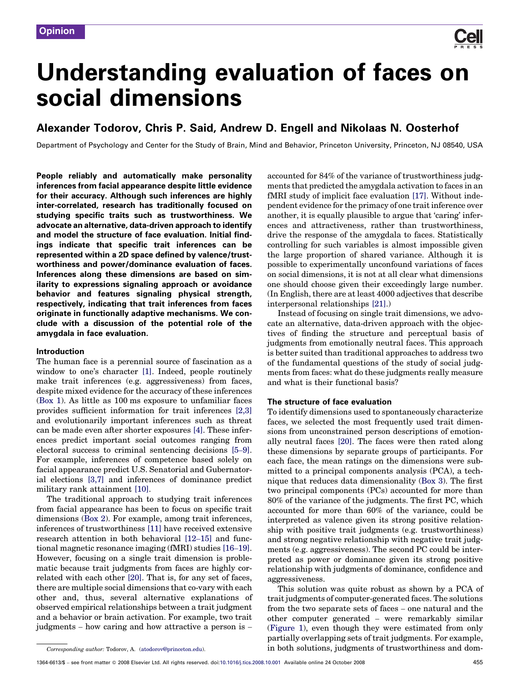

# Understanding evaluation of faces on social dimensions

## Alexander Todorov, Chris P. Said, Andrew D. Engell and Nikolaas N. Oosterhof

Department of Psychology and Center for the Study of Brain, Mind and Behavior, Princeton University, Princeton, NJ 08540, USA

People reliably and automatically make personality inferences from facial appearance despite little evidence for their accuracy. Although such inferences are highly inter-correlated, research has traditionally focused on studying specific traits such as trustworthiness. We advocate an alternative, data-driven approach to identify and model the structure of face evaluation. Initial findings indicate that specific trait inferences can be represented within a 2D space defined by valence/trustworthiness and power/dominance evaluation of faces. Inferences along these dimensions are based on similarity to expressions signaling approach or avoidance behavior and features signaling physical strength, respectively, indicating that trait inferences from faces originate in functionally adaptive mechanisms. We conclude with a discussion of the potential role of the amygdala in face evaluation.

## Introduction

The human face is a perennial source of fascination as a window to one's character [\[1\].](#page-4-0) Indeed, people routinely make trait inferences (e.g. aggressiveness) from faces, despite mixed evidence for the accuracy of these inferences ([Box 1](#page-1-0)). As little as 100 ms exposure to unfamiliar faces provides sufficient information for trait inferences [\[2,3\]](#page-5-0) and evolutionarily important inferences such as threat can be made even after shorter exposures [\[4\]](#page-5-0). These inferences predict important social outcomes ranging from electoral success to criminal sentencing decisions [5–[9\]](#page-5-0). For example, inferences of competence based solely on facial appearance predict U.S. Senatorial and Gubernatorial elections [\[3,7\]](#page-5-0) and inferences of dominance predict military rank attainment [\[10\]](#page-5-0).

The traditional approach to studying trait inferences from facial appearance has been to focus on specific trait dimensions ([Box 2\)](#page-1-0). For example, among trait inferences, inferences of trustworthiness [\[11\]](#page-5-0) have received extensive research attention in both behavioral [\[12](#page-5-0)–15] and functional magnetic resonance imaging (fMRI) studies [\[16](#page-5-0)–19]. However, focusing on a single trait dimension is problematic because trait judgments from faces are highly correlated with each other [\[20\]](#page-5-0). That is, for any set of faces, there are multiple social dimensions that co-vary with each other and, thus, several alternative explanations of observed empirical relationships between a trait judgment and a behavior or brain activation. For example, two trait judgments – how caring and how attractive a person is –

accounted for 84% of the variance of trustworthiness judgments that predicted the amygdala activation to faces in an fMRI study of implicit face evaluation [\[17\].](#page-5-0) Without independent evidence for the primacy of one trait inference over another, it is equally plausible to argue that 'caring' inferences and attractiveness, rather than trustworthiness, drive the response of the amygdala to faces. Statistically controlling for such variables is almost impossible given the large proportion of shared variance. Although it is possible to experimentally unconfound variations of faces on social dimensions, it is not at all clear what dimensions one should choose given their exceedingly large number. (In English, there are at least 4000 adjectives that describe interpersonal relationships [\[21\].](#page-5-0))

Instead of focusing on single trait dimensions, we advocate an alternative, data-driven approach with the objectives of finding the structure and perceptual basis of judgments from emotionally neutral faces. This approach is better suited than traditional approaches to address two of the fundamental questions of the study of social judgments from faces: what do these judgments really measure and what is their functional basis?

### The structure of face evaluation

To identify dimensions used to spontaneously characterize faces, we selected the most frequently used trait dimensions from unconstrained person descriptions of emotionally neutral faces [\[20\]](#page-5-0). The faces were then rated along these dimensions by separate groups of participants. For each face, the mean ratings on the dimensions were submitted to a principal components analysis (PCA), a technique that reduces data dimensionality ([Box 3\)](#page-1-0). The first two principal components (PCs) accounted for more than 80% of the variance of the judgments. The first PC, which accounted for more than 60% of the variance, could be interpreted as valence given its strong positive relationship with positive trait judgments (e.g. trustworthiness) and strong negative relationship with negative trait judgments (e.g. aggressiveness). The second PC could be interpreted as power or dominance given its strong positive relationship with judgments of dominance, confidence and aggressiveness.

This solution was quite robust as shown by a PCA of trait judgments of computer-generated faces. The solutions from the two separate sets of faces – one natural and the other computer generated – were remarkably similar ([Figure 1](#page-2-0)), even though they were estimated from only partially overlapping sets of trait judgments. For example, in both solutions, judgments of trustworthiness and dom-

Corresponding author: Todorov, A. [\(atodorov@princeton.edu\)](mailto:atodorov@princeton.edu).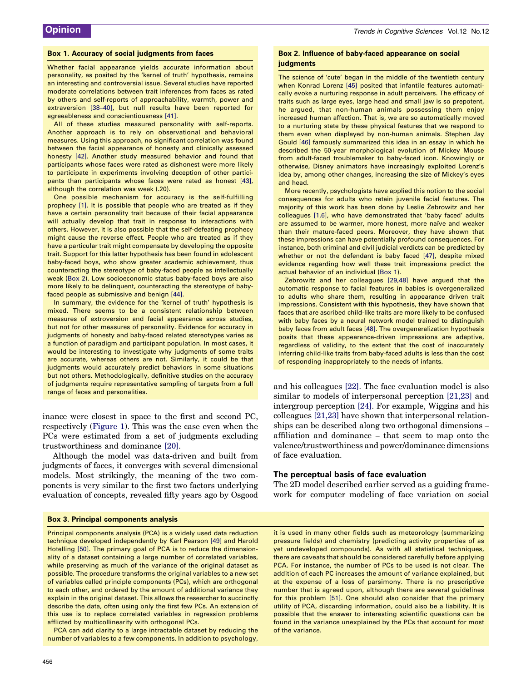#### <span id="page-1-0"></span>Box 1. Accuracy of social judgments from faces

Whether facial appearance yields accurate information about personality, as posited by the 'kernel of truth' hypothesis, remains an interesting and controversial issue. Several studies have reported moderate correlations between trait inferences from faces as rated by others and self-reports of approachability, warmth, power and extraversion [\[38](#page-5-0)–40], but null results have been reported for agreeableness and conscientiousness [\[41\]](#page-5-0).

All of these studies measured personality with self-reports. Another approach is to rely on observational and behavioral measures. Using this approach, no significant correlation was found between the facial appearance of honesty and clinically assessed honesty [\[42\].](#page-5-0) Another study measured behavior and found that participants whose faces were rated as dishonest were more likely to participate in experiments involving deception of other participants than participants whose faces were rated as honest [\[43\],](#page-5-0) although the correlation was weak (.20).

One possible mechanism for accuracy is the self-fulfilling prophecy [\[1\].](#page-4-0) It is possible that people who are treated as if they have a certain personality trait because of their facial appearance will actually develop that trait in response to interactions with others. However, it is also possible that the self-defeating prophecy might cause the reverse effect. People who are treated as if they have a particular trait might compensate by developing the opposite trait. Support for this latter hypothesis has been found in adolescent baby-faced boys, who show greater academic achievement, thus counteracting the stereotype of baby-faced people as intellectually weak (Box 2). Low socioeconomic status baby-faced boys are also more likely to be delinquent, counteracting the stereotype of babyfaced people as submissive and benign [\[44\]](#page-5-0).

In summary, the evidence for the 'kernel of truth' hypothesis is mixed. There seems to be a consistent relationship between measures of extroversion and facial appearance across studies, but not for other measures of personality. Evidence for accuracy in judgments of honesty and baby-faced related stereotypes varies as a function of paradigm and participant population. In most cases, it would be interesting to investigate why judgments of some traits are accurate, whereas others are not. Similarly, it could be that judgments would accurately predict behaviors in some situations but not others. Methodologically, definitive studies on the accuracy of judgments require representative sampling of targets from a full range of faces and personalities.

inance were closest in space to the first and second PC, respectively ([Figure 1](#page-2-0)). This was the case even when the PCs were estimated from a set of judgments excluding trustworthiness and dominance [\[20\]](#page-5-0).

Although the model was data-driven and built from judgments of faces, it converges with several dimensional models. Most strikingly, the meaning of the two components is very similar to the first two factors underlying evaluation of concepts, revealed fifty years ago by Osgood

#### Box 3. Principal components analysis

Principal components analysis (PCA) is a widely used data reduction technique developed independently by Karl Pearson [\[49\]](#page-5-0) and Harold Hotelling [\[50\]](#page-5-0). The primary goal of PCA is to reduce the dimensionality of a dataset containing a large number of correlated variables, while preserving as much of the variance of the original dataset as possible. The procedure transforms the original variables to a new set of variables called principle components (PCs), which are orthogonal to each other, and ordered by the amount of additional variance they explain in the original dataset. This allows the researcher to succinctly describe the data, often using only the first few PCs. An extension of this use is to replace correlated variables in regression problems afflicted by multicollinearity with orthogonal PCs.

PCA can add clarity to a large intractable dataset by reducing the number of variables to a few components. In addition to psychology,

#### Box 2. Influence of baby-faced appearance on social **judgments**

The science of 'cute' began in the middle of the twentieth century when Konrad Lorenz [\[45\]](#page-5-0) posited that infantile features automatically evoke a nurturing response in adult perceivers. The efficacy of traits such as large eyes, large head and small jaw is so prepotent, he argued, that non-human animals possessing them enjoy increased human affection. That is, we are so automatically moved to a nurturing state by these physical features that we respond to them even when displayed by non-human animals. Stephen Jay Gould [\[46\]](#page-5-0) famously summarized this idea in an essay in which he described the 50-year morphological evolution of Mickey Mouse from adult-faced troublemaker to baby-faced icon. Knowingly or otherwise, Disney animators have increasingly exploited Lorenz's idea by, among other changes, increasing the size of Mickey's eyes and head.

More recently, psychologists have applied this notion to the social consequences for adults who retain juvenile facial features. The majority of this work has been done by Leslie Zebrowitz and her colleagues [\[1,6\],](#page-4-0) who have demonstrated that 'baby faced' adults are assumed to be warmer, more honest, more naïve and weaker than their mature-faced peers. Moreover, they have shown that these impressions can have potentially profound consequences. For instance, both criminal and civil judicial verdicts can be predicted by whether or not the defendant is baby faced [\[47\]](#page-5-0), despite mixed evidence regarding how well these trait impressions predict the actual behavior of an individual (Box 1).

Zebrowitz and her colleagues [\[29,48\]](#page-5-0) have argued that the automatic response to facial features in babies is overgeneralized to adults who share them, resulting in appearance driven trait impressions. Consistent with this hypothesis, they have shown that faces that are ascribed child-like traits are more likely to be confused with baby faces by a neural network model trained to distinguish baby faces from adult faces [\[48\]](#page-5-0). The overgeneralization hypothesis posits that these appearance-driven impressions are adaptive, regardless of validity, to the extent that the cost of inaccurately inferring child-like traits from baby-faced adults is less than the cost of responding inappropriately to the needs of infants.

and his colleagues [\[22\]](#page-5-0). The face evaluation model is also similar to models of interpersonal perception [\[21,23\]](#page-5-0) and intergroup perception [\[24\]](#page-5-0). For example, Wiggins and his colleagues [\[21,23\]](#page-5-0) have shown that interpersonal relationships can be described along two orthogonal dimensions – affiliation and dominance – that seem to map onto the valence/trustworthiness and power/dominance dimensions of face evaluation.

#### The perceptual basis of face evaluation

The 2D model described earlier served as a guiding framework for computer modeling of face variation on social

it is used in many other fields such as meteorology (summarizing pressure fields) and chemistry (predicting activity properties of as yet undeveloped compounds). As with all statistical techniques, there are caveats that should be considered carefully before applying PCA. For instance, the number of PCs to be used is not clear. The addition of each PC increases the amount of variance explained, but at the expense of a loss of parsimony. There is no prescriptive number that is agreed upon, although there are several guidelines for this problem [\[51\]](#page-5-0). One should also consider that the primary utility of PCA, discarding information, could also be a liability. It is possible that the answer to interesting scientific questions can be found in the variance unexplained by the PCs that account for most of the variance.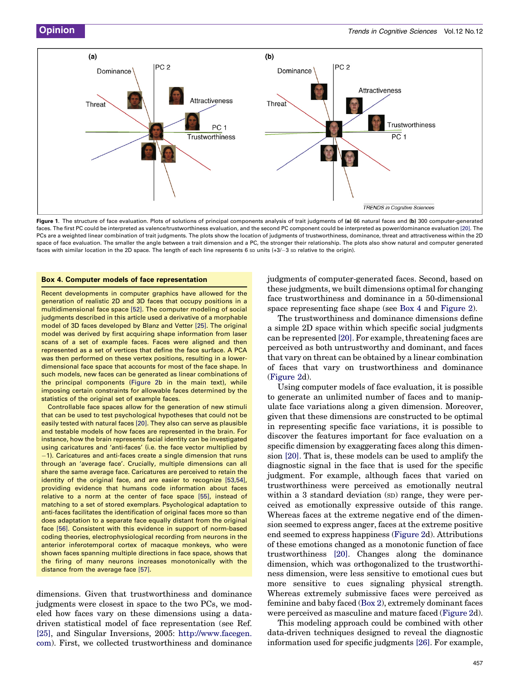<span id="page-2-0"></span>

Figure 1. The structure of face evaluation. Plots of solutions of principal components analysis of trait judgments of (a) 66 natural faces and (b) 300 computer-generated faces. The first PC could be interpreted as valence/trustworthiness evaluation, and the second PC component could be interpreted as power/dominance evaluation [\[20\].](#page-5-0) The PCs are a weighted linear combination of trait judgments. The plots show the location of judgments of trustworthiness, dominance, threat and attractiveness within the 2D space of face evaluation. The smaller the angle between a trait dimension and a PC, the stronger their relationship. The plots also show natural and computer generated faces with similar location in the 2D space. The length of each line represents 6 so units (+3/–3 so relative to the origin).

#### Box 4. Computer models of face representation

Recent developments in computer graphics have allowed for the generation of realistic 2D and 3D faces that occupy positions in a multidimensional face space [\[52\]](#page-5-0). The computer modeling of social judgments described in this article used a derivative of a morphable model of 3D faces developed by Blanz and Vetter [\[25\]](#page-5-0). The original model was derived by first acquiring shape information from laser scans of a set of example faces. Faces were aligned and then represented as a set of vertices that define the face surface. A PCA was then performed on these vertex positions, resulting in a lowerdimensional face space that accounts for most of the face shape. In such models, new faces can be generated as linear combinations of the principal components ([Figure 2b](#page-3-0) in the main text), while imposing certain constraints for allowable faces determined by the statistics of the original set of example faces.

Controllable face spaces allow for the generation of new stimuli that can be used to test psychological hypotheses that could not be easily tested with natural faces [\[20\]](#page-5-0). They also can serve as plausible and testable models of how faces are represented in the brain. For instance, how the brain represents facial identity can be investigated using caricatures and 'anti-faces' (i.e. the face vector multiplied by -1). Caricatures and anti-faces create a single dimension that runs through an 'average face'. Crucially, multiple dimensions can all share the same average face. Caricatures are perceived to retain the identity of the original face, and are easier to recognize [\[53,54\],](#page-5-0) providing evidence that humans code information about faces relative to a norm at the center of face space [\[55\]](#page-5-0), instead of matching to a set of stored exemplars. Psychological adaptation to anti-faces facilitates the identification of original faces more so than does adaptation to a separate face equally distant from the original face [\[56\]](#page-5-0). Consistent with this evidence in support of norm-based coding theories, electrophysiological recording from neurons in the anterior inferotemporal cortex of macaque monkeys, who were shown faces spanning multiple directions in face space, shows that the firing of many neurons increases monotonically with the distance from the average face [\[57\]](#page-5-0).

dimensions. Given that trustworthiness and dominance judgments were closest in space to the two PCs, we modeled how faces vary on these dimensions using a datadriven statistical model of face representation (see Ref. [\[25\]](#page-5-0), and Singular Inversions, 2005: [http://www.facegen.](http://www.facegen.com/) [com\)](http://www.facegen.com/). First, we collected trustworthiness and dominance judgments of computer-generated faces. Second, based on these judgments, we built dimensions optimal for changing face trustworthiness and dominance in a 50-dimensional space representing face shape (see Box 4 and [Figure 2\)](#page-3-0).

The trustworthiness and dominance dimensions define a simple 2D space within which specific social judgments can be represented [\[20\]](#page-5-0). For example, threatening faces are perceived as both untrustworthy and dominant, and faces that vary on threat can be obtained by a linear combination of faces that vary on trustworthiness and dominance ([Figure 2d](#page-3-0)).

Using computer models of face evaluation, it is possible to generate an unlimited number of faces and to manipulate face variations along a given dimension. Moreover, given that these dimensions are constructed to be optimal in representing specific face variations, it is possible to discover the features important for face evaluation on a specific dimension by exaggerating faces along this dimension [\[20\]](#page-5-0). That is, these models can be used to amplify the diagnostic signal in the face that is used for the specific judgment. For example, although faces that varied on trustworthiness were perceived as emotionally neutral within a 3 standard deviation (SD) range, they were perceived as emotionally expressive outside of this range. Whereas faces at the extreme negative end of the dimension seemed to express anger, faces at the extreme positive end seemed to express happiness [\(Figure 2d](#page-3-0)). Attributions of these emotions changed as a monotonic function of face trustworthiness [\[20\]](#page-5-0). Changes along the dominance dimension, which was orthogonalized to the trustworthiness dimension, were less sensitive to emotional cues but more sensitive to cues signaling physical strength. Whereas extremely submissive faces were perceived as feminine and baby faced [\(Box 2](#page-1-0)), extremely dominant faces were perceived as masculine and mature faced [\(Figure 2d](#page-3-0)).

This modeling approach could be combined with other data-driven techniques designed to reveal the diagnostic information used for specific judgments [\[26\].](#page-5-0) For example,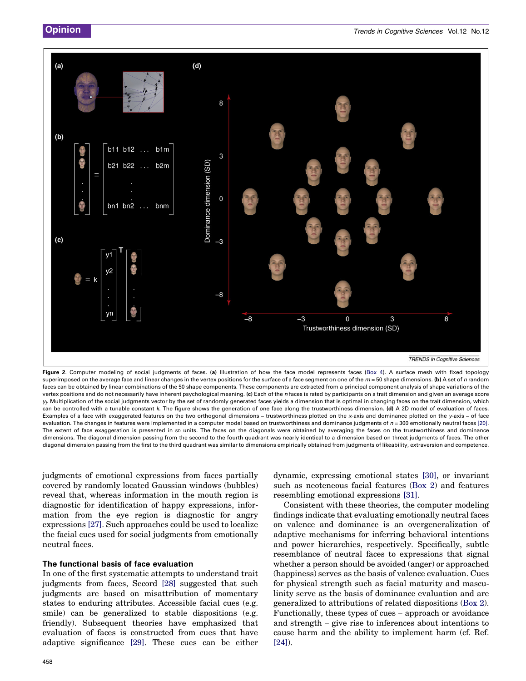<span id="page-3-0"></span>

Figure 2. Computer modeling of social judgments of faces. (a) Illustration of how the face model represents faces [\(Box 4\)](#page-2-0). A surface mesh with fixed topology superimposed on the average face and linear changes in the vertex positions for the surface of a face segment on one of the  $m = 50$  shape dimensions. (b) A set of n random faces can be obtained by linear combinations of the 50 shape components. These components are extracted from a principal component analysis of shape variations of the vertex positions and do not necessarily have inherent psychological meaning. (c) Each of the n faces is rated by participants on a trait dimension and given an average score  $y_i$ . Multiplication of the social judgments vector by the set of randomly generated faces yields a dimension that is optimal in changing faces on the trait dimension, which can be controlled with a tunable constant k. The figure shows the generation of one face along the trustworthiness dimension. (d) A 2D model of evaluation of faces. Examples of a face with exaggerated features on the two orthogonal dimensions – trustworthiness plotted on the x-axis and dominance plotted on the y-axis – of face evaluation. The changes in features were implemented in a computer model based on trustworthiness and dominance judgments of  $n = 300$  emotionally neutral faces [\[20\].](#page-5-0) The extent of face exaggeration is presented in so units. The faces on the diagonals were obtained by averaging the faces on the trustworthiness and dominance dimensions. The diagonal dimension passing from the second to the fourth quadrant was nearly identical to a dimension based on threat judgments of faces. The other diagonal dimension passing from the first to the third quadrant was similar to dimensions empirically obtained from judgments of likeability, extraversion and competence.

judgments of emotional expressions from faces partially covered by randomly located Gaussian windows (bubbles) reveal that, whereas information in the mouth region is diagnostic for identification of happy expressions, information from the eye region is diagnostic for angry expressions [\[27\].](#page-5-0) Such approaches could be used to localize the facial cues used for social judgments from emotionally neutral faces.

#### The functional basis of face evaluation

In one of the first systematic attempts to understand trait judgments from faces, Secord [\[28\]](#page-5-0) suggested that such judgments are based on misattribution of momentary states to enduring attributes. Accessible facial cues (e.g. smile) can be generalized to stable dispositions (e.g. friendly). Subsequent theories have emphasized that evaluation of faces is constructed from cues that have adaptive significance [\[29\]](#page-5-0). These cues can be either dynamic, expressing emotional states [\[30\]](#page-5-0), or invariant such as neoteneous facial features [\(Box 2](#page-1-0)) and features resembling emotional expressions [\[31\]](#page-5-0).

Consistent with these theories, the computer modeling findings indicate that evaluating emotionally neutral faces on valence and dominance is an overgeneralization of adaptive mechanisms for inferring behavioral intentions and power hierarchies, respectively. Specifically, subtle resemblance of neutral faces to expressions that signal whether a person should be avoided (anger) or approached (happiness) serves as the basis of valence evaluation. Cues for physical strength such as facial maturity and masculinity serve as the basis of dominance evaluation and are generalized to attributions of related dispositions [\(Box 2](#page-1-0)). Functionally, these types of cues – approach or avoidance and strength – give rise to inferences about intentions to cause harm and the ability to implement harm (cf. Ref. [\[24\]](#page-5-0)).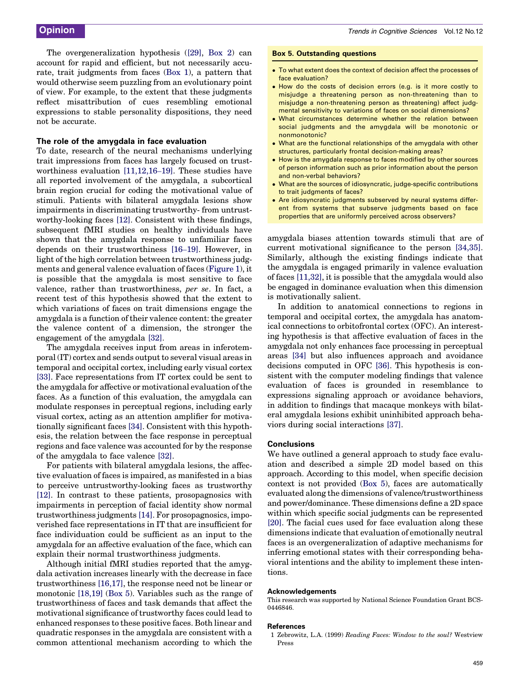<span id="page-4-0"></span>The overgeneralization hypothesis [\(\[29\],](#page-5-0) [Box 2\)](#page-1-0) can account for rapid and efficient, but not necessarily accurate, trait judgments from faces ([Box 1\)](#page-1-0), a pattern that would otherwise seem puzzling from an evolutionary point of view. For example, to the extent that these judgments reflect misattribution of cues resembling emotional expressions to stable personality dispositions, they need not be accurate.

### The role of the amygdala in face evaluation

To date, research of the neural mechanisms underlying trait impressions from faces has largely focused on trustworthiness evaluation [\[11,12,16](#page-5-0)–19]. These studies have all reported involvement of the amygdala, a subcortical brain region crucial for coding the motivational value of stimuli. Patients with bilateral amygdala lesions show impairments in discriminating trustworthy- from untrustworthy-looking faces [\[12\].](#page-5-0) Consistent with these findings, subsequent fMRI studies on healthy individuals have shown that the amygdala response to unfamiliar faces depends on their trustworthiness [\[16](#page-5-0)–19]. However, in light of the high correlation between trustworthiness judgments and general valence evaluation of faces [\(Figure 1](#page-2-0)), it is possible that the amygdala is most sensitive to face valence, rather than trustworthiness, per se. In fact, a recent test of this hypothesis showed that the extent to which variations of faces on trait dimensions engage the amygdala is a function of their valence content: the greater the valence content of a dimension, the stronger the engagement of the amygdala [\[32\].](#page-5-0)

The amygdala receives input from areas in inferotemporal (IT) cortex and sends output to several visual areas in temporal and occipital cortex, including early visual cortex [\[33\]](#page-5-0). Face representations from IT cortex could be sent to the amygdala for affective or motivational evaluation of the faces. As a function of this evaluation, the amygdala can modulate responses in perceptual regions, including early visual cortex, acting as an attention amplifier for motivationally significant faces [\[34\].](#page-5-0) Consistent with this hypothesis, the relation between the face response in perceptual regions and face valence was accounted for by the response of the amygdala to face valence [\[32\]](#page-5-0).

For patients with bilateral amygdala lesions, the affective evaluation of faces is impaired, as manifested in a bias to perceive untrustworthy-looking faces as trustworthy [\[12\]](#page-5-0). In contrast to these patients, prosopagnosics with impairments in perception of facial identity show normal trustworthiness judgments [\[14\].](#page-5-0) For prosopagnosics, impoverished face representations in IT that are insufficient for face individuation could be sufficient as an input to the amygdala for an affective evaluation of the face, which can explain their normal trustworthiness judgments.

Although initial fMRI studies reported that the amygdala activation increases linearly with the decrease in face trustworthiness [\[16,17\]](#page-5-0), the response need not be linear or monotonic [\[18,19\]](#page-5-0) (Box 5). Variables such as the range of trustworthiness of faces and task demands that affect the motivational significance of trustworthy faces could lead to enhanced responses to these positive faces. Both linear and quadratic responses in the amygdala are consistent with a common attentional mechanism according to which the

#### Box 5. Outstanding questions

- To what extent does the context of decision affect the processes of face evaluation?
- How do the costs of decision errors (e.g. is it more costly to misjudge a threatening person as non-threatening than to misjudge a non-threatening person as threatening) affect judgmental sensitivity to variations of faces on social dimensions?
- What circumstances determine whether the relation between social judgments and the amygdala will be monotonic or nonmonotonic?
- What are the functional relationships of the amygdala with other structures, particularly frontal decision-making areas?
- How is the amygdala response to faces modified by other sources of person information such as prior information about the person and non-verbal behaviors?
- What are the sources of idiosyncratic, judge-specific contributions to trait judgments of faces?
- Are idiosyncratic judgments subserved by neural systems different from systems that subserve judgments based on face properties that are uniformly perceived across observers?

amygdala biases attention towards stimuli that are of current motivational significance to the person [\[34,35\]](#page-5-0). Similarly, although the existing findings indicate that the amygdala is engaged primarily in valence evaluation of faces [\[11,32\],](#page-5-0) it is possible that the amygdala would also be engaged in dominance evaluation when this dimension is motivationally salient.

In addition to anatomical connections to regions in temporal and occipital cortex, the amygdala has anatomical connections to orbitofrontal cortex (OFC). An interesting hypothesis is that affective evaluation of faces in the amygdala not only enhances face processing in perceptual areas [\[34\]](#page-5-0) but also influences approach and avoidance decisions computed in OFC [\[36\].](#page-5-0) This hypothesis is consistent with the computer modeling findings that valence evaluation of faces is grounded in resemblance to expressions signaling approach or avoidance behaviors, in addition to findings that macaque monkeys with bilateral amygdala lesions exhibit uninhibited approach behaviors during social interactions [\[37\]](#page-5-0).

#### **Conclusions**

We have outlined a general approach to study face evaluation and described a simple 2D model based on this approach. According to this model, when specific decision context is not provided (Box 5), faces are automatically evaluated along the dimensions of valence/trustworthiness and power/dominance. These dimensions define a 2D space within which specific social judgments can be represented [\[20\]](#page-5-0). The facial cues used for face evaluation along these dimensions indicate that evaluation of emotionally neutral faces is an overgeneralization of adaptive mechanisms for inferring emotional states with their corresponding behavioral intentions and the ability to implement these intentions.

#### Acknowledgements

This research was supported by National Science Foundation Grant BCS-0446846.

#### **References**

1 Zebrowitz, L.A. (1999) Reading Faces: Window to the soul? Westview Press